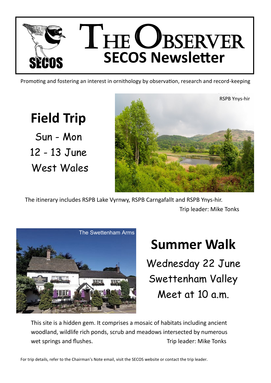

Promoting and fostering an interest in ornithology by observation, research and record-keeping

**Field Trip** Sun - Mon 12 - 13 June West Wales



The itinerary includes RSPB Lake Vyrnwy, RSPB Carngafallt and RSPB Ynys-hir. Trip leader: Mike Tonks



## **Summer Walk**

Wednesday 22 June Swettenham Valley Meet at 10 a.m.

This site is a hidden gem. It comprises a mosaic of habitats including ancient woodland, wildlife rich ponds, scrub and meadows intersected by numerous wet springs and flushes. The South Control of Trip leader: Mike Tonks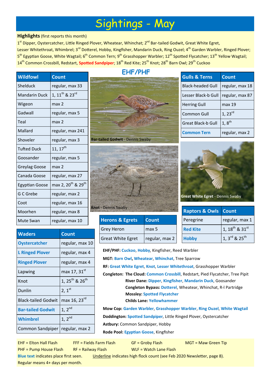## Sightings - May

## **Highlights**(first reports this month)

1<sup>st</sup> Dipper, Oystercatcher, Little Ringed Plover, Wheatear, Whinchat; 2<sup>nd</sup> Bar-tailed Godwit, Great White Egret, Lesser Whitethroat, Whimbrel; 3<sup>rd</sup> Dotterel, Hobby, Kingfisher, Mandarin Duck, Ring Ouzel; 4<sup>th</sup> Garden Warbler, Ringed Plover; 5<sup>th</sup> Egyptian Goose, White Wagtail; 6<sup>th</sup> Common Tern; 9<sup>th</sup> Grasshopper Warbler; 12<sup>th</sup> Spotted Flycatcher; 13<sup>th</sup> Yellow Wagtail; 14<sup>th</sup> Common Crossbill, Redstart, **Spotted Sandpiper**; 18<sup>th</sup> Red Kite; 25<sup>th</sup> Knot; 28<sup>th</sup> Barn Owl; 29<sup>th</sup> Cuckoo

**EHF/PHF**

| <b>Wildfowl</b>      | <b>Count</b>                               |
|----------------------|--------------------------------------------|
| Shelduck             | regular, max 33                            |
| <b>Mandarin Duck</b> | 1, $11^{th}$ & $23^{rd}$                   |
| Wigeon               | max <sub>2</sub>                           |
| Gadwall              | regular, max 5                             |
| Teal                 | max 2                                      |
| Mallard              | regular, max 241                           |
| Shoveler             | regular, max 3                             |
| <b>Tufted Duck</b>   | $11, 17^{\sf th}$                          |
| Goosander            | regular, max 5                             |
| Greylag Goose        | max 2                                      |
| Canada Goose         | regular, max 27                            |
| Egyptian Goose       | max 2, 20 <sup>th</sup> & 29 <sup>th</sup> |
| G C Grebe            | regular, max 2                             |
| Coot                 | regular, max 16                            |
| Moorhen              | regular, max 8                             |
| Mute Swan            | regular, max 10                            |

| <b>Bar-tailed Godwit - Dennis Swaby</b> |  |
|-----------------------------------------|--|



| <b>Herons &amp; Egrets</b> | <b>Count</b>   |
|----------------------------|----------------|
| <b>Grey Heron</b>          | max 5          |
| <b>Great White Egret</b>   | regular, max 2 |

| <b>Gulls &amp; Terns</b> | <b>Count</b>        |
|--------------------------|---------------------|
| <b>Black-headed Gull</b> | regular, max 18     |
| Lesser Black-b Gull      | regular, max 87     |
| <b>Herring Gull</b>      | max 19              |
| <b>Common Gull</b>       | $1, 23^{rd}$        |
| Great Black-b Gull       | $1,8$ <sup>th</sup> |
| mon Tern                 | regular, max 2      |



| <b>Raptors &amp; Owls Count</b> |                           |
|---------------------------------|---------------------------|
| Peregrine                       | regular, max 1            |
| <b>Red Kite</b>                 | 1, $18^{th}$ & $31^{st}$  |
| <b>Hobby</b>                    | 1, 3rd & 25 <sup>th</sup> |

| <b>Waders</b>              | <b>Count</b>                           |
|----------------------------|----------------------------------------|
| <b>Oystercatcher</b>       | regular, max 10                        |
| <b>L Ringed Plover</b>     | regular, max 4                         |
| <b>Ringed Plover</b>       | regular, max 4                         |
| Lapwing                    | max 17, 31st                           |
| Knot                       | 1, 25 <sup>th</sup> & 26 <sup>th</sup> |
| Dunlin                     | $2, 1^{st}$                            |
| <b>Black-tailed Godwit</b> | max 16, 23 <sup>rd</sup>               |
| <b>Bar-tailed Godwit</b>   | 1, $2^{nd}$                            |
| <b>Whimbrel</b>            | 1, 2 <sup>nd</sup>                     |
| Common Sandpiper           | regular, max 2                         |

| <b>TICLUID &amp; LEICD</b>               | сочни          |  |  |
|------------------------------------------|----------------|--|--|
| <b>Grey Heron</b>                        | max 5          |  |  |
| <b>Great White Egret</b>                 | regular, max 2 |  |  |
| EHF/PHF: Cuckoo, Hobby, Kingfisher, Reed |                |  |  |

**Warbler MGT: Barn Owl, Wheatear**, **Whinchat**, Tree Sparrow **RF: Great White Egret**, **Knot**, **Lesser Whitethroat**, Grasshopper Warbler **Congleton: The Cloud: Common Crossbill**, Redstart, Pied Flycatcher, Tree Pipit **River Dane: Dipper**, **Kingfisher**, **Mandarin Duck**, Goosander **Congleton Bypass: Dotterel**, Wheatear, Whinchat, R-l Partridge **Mossley: Spotted Flycatcher Childs Lane: Yellowhammer Mow Cop: Garden Warbler**, **Grasshopper Warbler**, **Ring Ouzel**, **White Wagtail**

**Doddington: Spotted Sandpiper**, Little Ringed Plover, Oystercatcher

**Astbury:** Common Sandpiper, Hobby

**Rode Pool: Egyptian Goose**, Kingfisher

PHF = Pump House Flash RF = Railway Flash WLF = Watch Lane Flash

EHF = Elton Hall Flash FFF = Fields Farm Flash GF = Groby Flash MGT = Maw Green Tip

**Blue text** indicates place first seen. Underline indicates high flock count (see Feb 2020 Newsletter, page 8).

Regular means 4+ days per month.